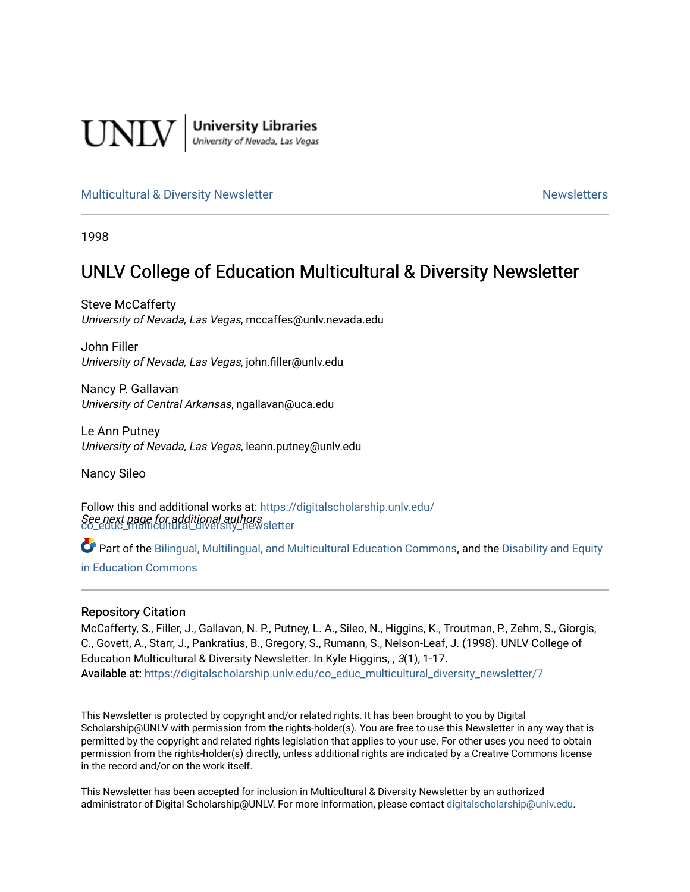

**University Libraries**<br>University of Nevada, Las Vegas

#### [Multicultural & Diversity Newsletter](https://digitalscholarship.unlv.edu/co_educ_multicultural_diversity_newsletter) Newsletter [Newsletters](https://digitalscholarship.unlv.edu/co_educ_newsletters) Newsletters

1998

## UNLV College of Education Multicultural & Diversity Newsletter

Steve McCafferty University of Nevada, Las Vegas, mccaffes@unlv.nevada.edu

John Filler University of Nevada, Las Vegas, john.filler@unlv.edu

Nancy P. Gallavan University of Central Arkansas, ngallavan@uca.edu

Le Ann Putney University of Nevada, Las Vegas, leann.putney@unlv.edu

Nancy Sileo

See next page for additional authors [co\\_educ\\_multicultural\\_diversity\\_newsletter](https://digitalscholarship.unlv.edu/co_educ_multicultural_diversity_newsletter?utm_source=digitalscholarship.unlv.edu%2Fco_educ_multicultural_diversity_newsletter%2F7&utm_medium=PDF&utm_campaign=PDFCoverPages)  Follow this and additional works at: [https://digitalscholarship.unlv.edu/](https://digitalscholarship.unlv.edu/co_educ_multicultural_diversity_newsletter?utm_source=digitalscholarship.unlv.edu%2Fco_educ_multicultural_diversity_newsletter%2F7&utm_medium=PDF&utm_campaign=PDFCoverPages)

Part of the [Bilingual, Multilingual, and Multicultural Education Commons,](http://network.bepress.com/hgg/discipline/785?utm_source=digitalscholarship.unlv.edu%2Fco_educ_multicultural_diversity_newsletter%2F7&utm_medium=PDF&utm_campaign=PDFCoverPages) and the Disability and Equity [in Education Commons](http://network.bepress.com/hgg/discipline/1040?utm_source=digitalscholarship.unlv.edu%2Fco_educ_multicultural_diversity_newsletter%2F7&utm_medium=PDF&utm_campaign=PDFCoverPages)

#### Repository Citation

McCafferty, S., Filler, J., Gallavan, N. P., Putney, L. A., Sileo, N., Higgins, K., Troutman, P., Zehm, S., Giorgis, C., Govett, A., Starr, J., Pankratius, B., Gregory, S., Rumann, S., Nelson-Leaf, J. (1998). UNLV College of Education Multicultural & Diversity Newsletter. In Kyle Higgins, , 3(1), 1-17. Available at: [https://digitalscholarship.unlv.edu/co\\_educ\\_multicultural\\_diversity\\_newsletter/7](https://digitalscholarship.unlv.edu/co_educ_multicultural_diversity_newsletter/7)

This Newsletter is protected by copyright and/or related rights. It has been brought to you by Digital Scholarship@UNLV with permission from the rights-holder(s). You are free to use this Newsletter in any way that is permitted by the copyright and related rights legislation that applies to your use. For other uses you need to obtain permission from the rights-holder(s) directly, unless additional rights are indicated by a Creative Commons license in the record and/or on the work itself.

This Newsletter has been accepted for inclusion in Multicultural & Diversity Newsletter by an authorized administrator of Digital Scholarship@UNLV. For more information, please contact [digitalscholarship@unlv.edu.](mailto:digitalscholarship@unlv.edu)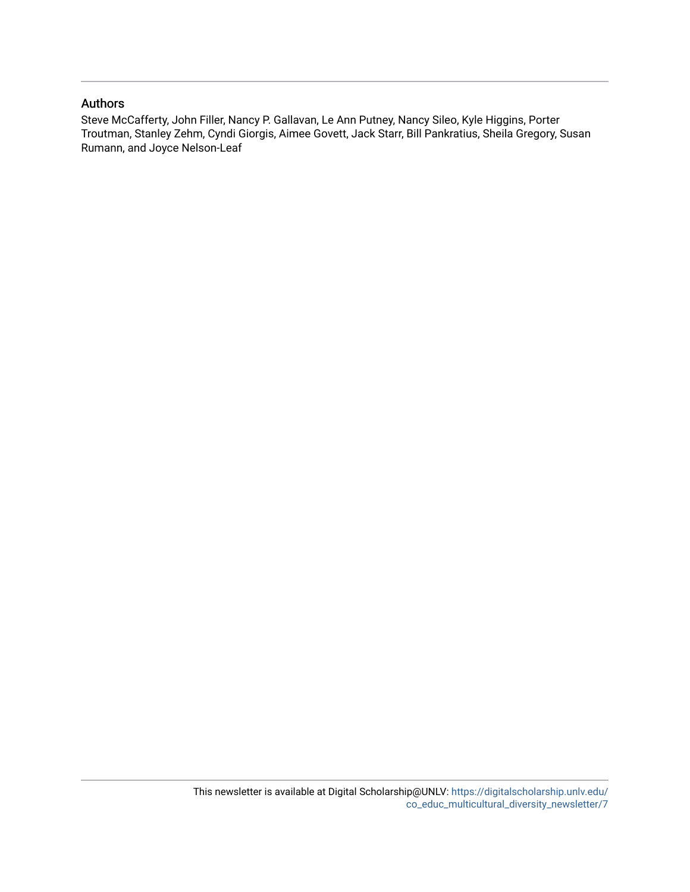#### Authors

Steve McCafferty, John Filler, Nancy P. Gallavan, Le Ann Putney, Nancy Sileo, Kyle Higgins, Porter Troutman, Stanley Zehm, Cyndi Giorgis, Aimee Govett, Jack Starr, Bill Pankratius, Sheila Gregory, Susan Rumann, and Joyce Nelson-Leaf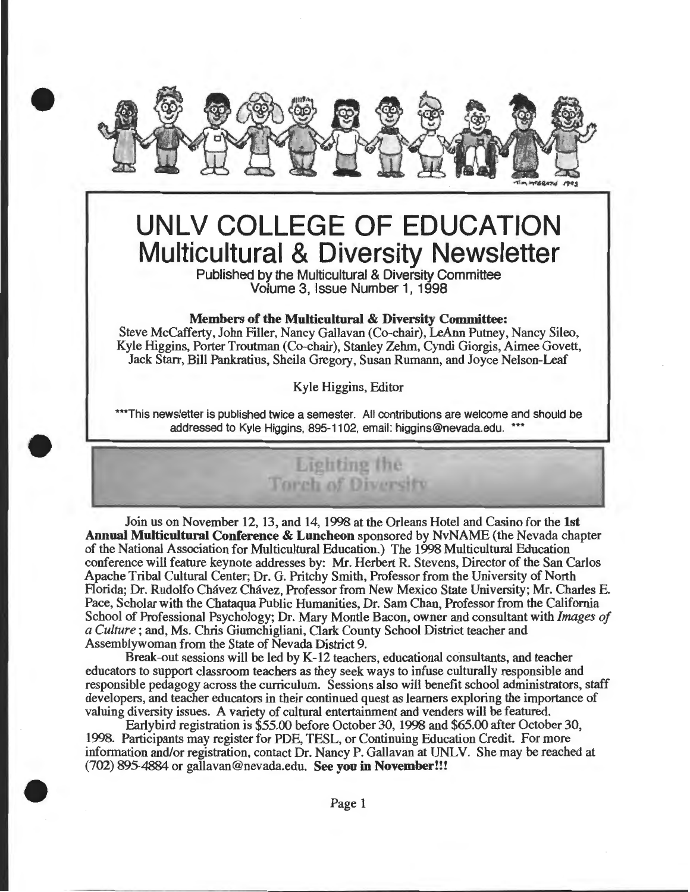

# **UNLV COLLEGE OF EDUCATION Multicultural & Diversity Newsletter**

Published by the Multicultural & Diversity Committee Volume 3, Issue Number 1, 1998

#### Members of the Multicultural & Diversity Committee:

Steve McCafferty, John Filler, Nancy Gallavan (Co-chair), LeAnn Putney, Nancy Sileo, Kyle Higgins, Porter Troutman (Co-chair), Stanley Zehm, Cyndi Giorgis, Aimee Govett, Jack Starr, Bill Pankratius, Sheila Gregory, Susan Rumann, and Joyce Nelson-Leaf

Kyle Higgins, Editor

\*\*\*This newsletter is published twice a semester. All contributions are welcome and should be addressed to Kyle Higgins, 895-1102, email: higgins@nevada.edu. \*\*\*



•

•

Join us on November 12, 13, and 14, 1998 at the Orleans Hotel and Casino for the 1st Annual Multicultural Conference & Luncheon sponsored by NvNAME (the Nevada chapter of the National Association for Multicultural Education.) The 1998 Multicultural Education conference will feature keynote addresses by: Mr. Herbert R. Stevens, Director of the San Carlos Apache Tribal Cultural Center; Dr. G. Pritchy Smith, Professor from the University of North Florida; Dr. Rudolfo Chavez Chavez, Professor from New Mexico State University; Mr. Charles E. Pace, Scholar with the Chataqua Public Humanities, Dr. Sam Chan, Professor from the California School of Professional Psychology; Dr. Mary Montie Bacon, owner and consultant with *Images of a Culture* ; and, Ms. Chris Giumchigliani, Clark County School District teacher and Assemblywoman from the State of Nevada District 9.

Break-out sessions will be led by K-12 teachers, educational consultants, and teacher educators to support classroom teachers as they seek ways to infuse culturally responsible and responsible pedagogy across the curriculum. Sessions also will benefit school administrators, staff developers, and teacher educators in their continued quest as learners exploring the importance of valuing diversity issues. A variety of cultural entertainment and venders will be featured.

Early bird registration is \$55.00 before October 30, 1998 and \$65.00 after October 30, 1998. Participants may register for PDE, TESL, or Continuing Education Credit. For more information and/or registration, contact Dr. Nancy P. Gallavan at UNLV. She may be reached at (702) 895-4884 or gallavan@nevada.edu. See you in November!!!

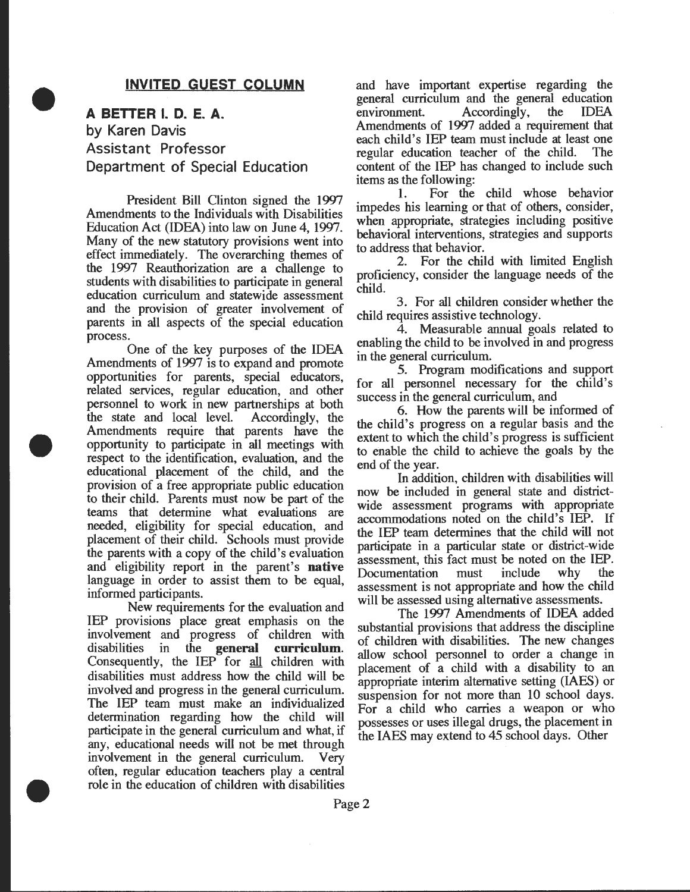#### **INVITED GUEST COLUMN**

**A BETTER I. D. E. A. by Karen Davis Assistant Professor Department of Special Education** 

•

•

•

President Bill Clinton signed the 1997 Amendments to the Individuals with Disabilities Education Act (IDEA) into law on June 4, 1997. Many of the new statutory provisions went into effect immediately. The overarching themes of the 1997 Reauthorization are a challenge to students with disabilities to participate in general education curriculum and statewide assessment and the provision of greater involvement of parents in all aspects of the special education process.

One of the key purposes of the IDEA Amendments of 1997 is to expand and promote opportunities for parents, special educators, related services, regular education, and other personnel to work in new partnerships at both the state and local level. Accordingly, the Amendments require that parents have the opportunity to participate in all meetings with respect to the identification, evaluation, and the educational placement of the child, and the provision of a free appropriate public education to their child. Parents must now be part of the teams that determine what evaluations are needed, eligibility for special education, and placement of their child. Schools must provide the parents with a copy of the child's evaluation and eligibility report in the parent's **native**  language in order to assist them to be equal, informed participants. .

New requirements for the evaluation and IEP provisions place great emphasis on the involvement and progress of children with<br>disabilities in the **general curriculum**. disabilities in the **general curriculum.**  Consequently, the IEP for all children with disabilities must address how the child will be involved and progress in the general curriculum. The IEP team must make an individualized determination regarding how the child will participate in the general curriculum and what, if any, educational needs will not be met through involvement in the general curriculum. Very often, regular education teachers play a central role in the education of children with disabilities

and have important expertise regarding the general curriculum and the general education environment. Accordingly, the IDEA Amendments of 1997 added a requirement that each child's IEP team must include at least one regular education teacher of the child. The content of the IEP has changed to include such items as the following: .

1. For the child whose behavior impedes his learning or that of others, consider, when appropriate, strategies including positive behavioral interventions, strategies and supports to address that behavior.

2. For the child with limited English proficiency, consider the language needs of the child.

3. For all children consider whether the child requires assistive technology.

4. Measurable annual goals related to enabling the child to be involved in and progress in the general curriculum.

5. Program modifications and support for all personnel necessary for the child's success in the general curriculum, and

6. How the parents will be informed of the child's progress on a regular basis and the extent to which the child's progress is sufficient to enable the child to achieve the goals by the

end of the year.<br>
In addition, children with disabilities will<br>
now be included in general state and districtwide assessment programs with appropriate accommodations noted on the child's IEP. If the IEP team determines that the child will not participate in a particular state or district-wide assessment, this fact must be noted on the IEP.<br>Documentation must include why the Documentation must include why the assessment is not appropriate and how the child will be assessed using alternative assessments.

The 1997 Amendments of IDEA added substantial provisions that address the discipline of children with disabilities. The new changes allow school personnel to order a change in placement of a child with a disability to an appropriate interim alternative setting (IAES) or suspension for not more than 10 school days. For a child who carries a weapon or who possesses or uses illegal drugs, the placement in the IAES may extend to 45 school days. Other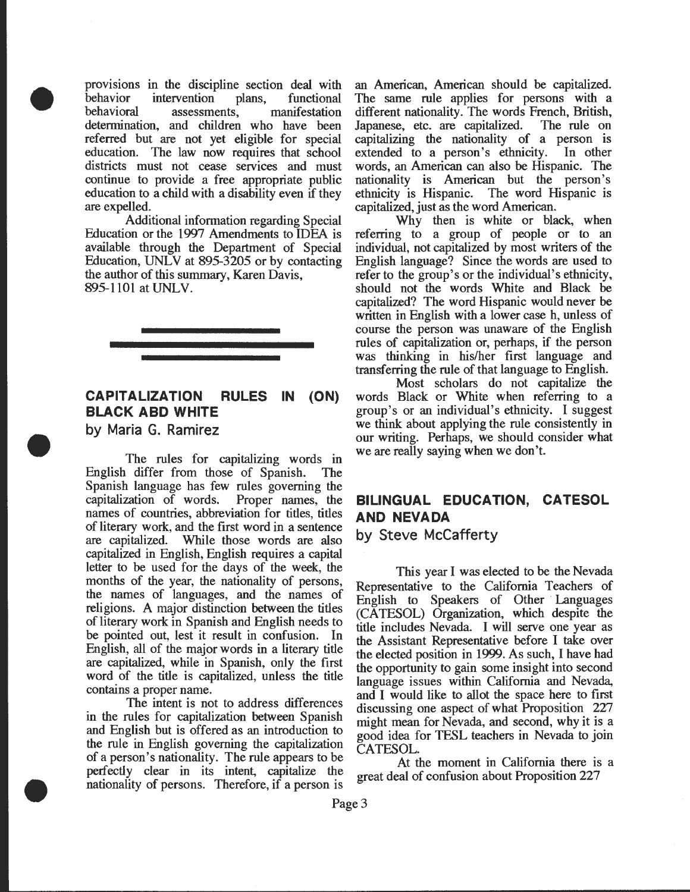provisions in the discipline section deal with behavior intervention plans, functional<br>behavioral assessments, manifestation assessments, manifestation determination, and children who have been referred but are not yet eligible for special education. The law now requires that school districts must not cease services and must continue to provide a free appropriate public education to a child with a disability even if they are expelled.

Additional information regarding Special Education or the 1997 Amendments to IDEA is available through the Department of Special Education, UNLV at 895-3205 or by contacting the author of this summary, Karen Davis, 895-1101 at UNLV.



#### **CAPITALIZATION RULES IN BLACK ABO WHITE (ON)**

**by Maria G. Ramirez** 

•

•

•

The rules for capitalizing words in English differ from those of Spanish. The Spanish language has few rules governing the capitalization of words. Proper names, the names of countries, abbreviation for titles, titles of literary work, and the first word in a sentence While those words are also capitalized in English, English requires a capital letter to be used for the days of the week, the months of the year, the nationality of persons, the names of languages, and the names of religions. A major distinction between the titles of literary work in Spanish and English needs to be pointed out, lest it result in confusion. In English, all of the major words in a literary title are capitalized, while in Spanish, only the first word of the title is capitalized, unless the title contains a proper name.

The intent is not to address differences in the rules for capitalization between Spanish and English but is offered as an introduction to the rule in English governing the capitalization of a person's nationality. The rule appears to be perfectly clear in its intent, capitalize the nationality of persons. Therefore, if a person is an American, American should be capitalized. The same rule applies for persons with a different nationality. The words French, British, Japanese, etc. are capitalized. The rule on capitalizing the nationality of a person is extended to a person's ethnicity. In other words, an American can also be Hispanic. The nationality is American but the person's ethnicity is Hispanic. The word Hispanic is capitalized, just as the word American.

Why then is white or black, when referring to a group of people or to an individual, not capitalized by most writers of the English language? Since the words are used to refer to the group's or the individual's ethnicity, should not the words White and Black be capitalized? The word Hispanic would never be written in English with a lower case h, unless of course the person was unaware of the English rules of capitalization or, perhaps, if the person was thinking in his/her first language and transferring the rule of that language to English.

Most scholars do not capitalize the words Black or White when referring to a group's or an individual's ethnicity. I suggest we think about applying the rule consistently in our writing. Perhaps, we should consider what we are really saying when we don't.

## **BILINGUAL EDUCATION, CATESOL AND NEVADA**

**by Steve McCafferty** 

This year I was elected to be the Nevada Representative to the California Teachers of English to Speakers of Other Languages (CATESOL) Organization, which despite the title includes Nevada. I will serve one year as the Assistant Representative before I take over the elected position in 1999. As such, I have had the opportunity to gain some insight into second language issues within California and Nevada, and I would like to allot the space here to first discussing one aspect of what Proposition 227 might mean for Nevada, and second, why it is a good idea for TESL teachers in Nevada to join CATESOL.

At the moment in California there is a great deal of confusion about Proposition 227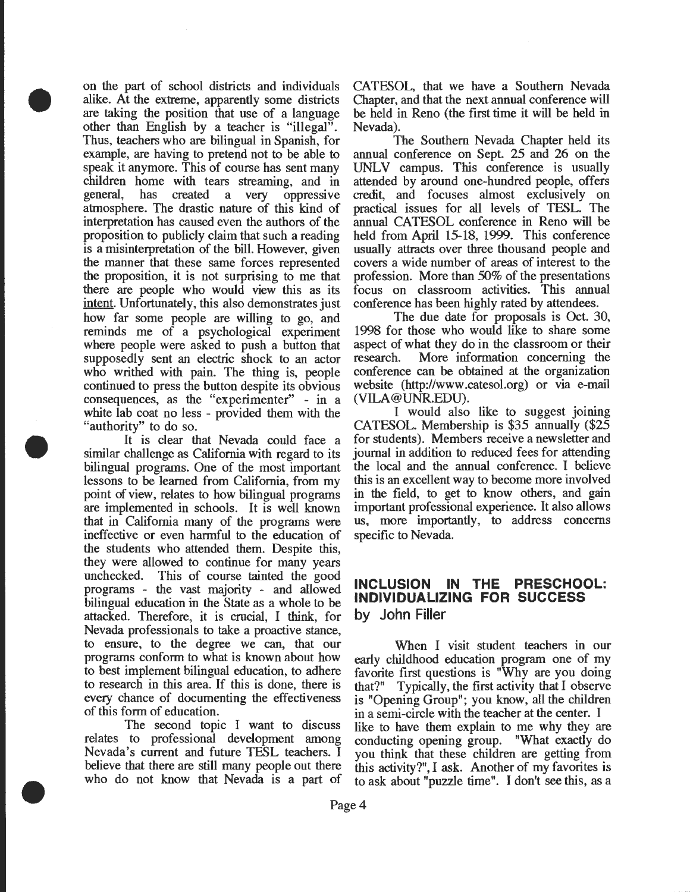on the part of school districts and individuals alike. At the extreme, apparently some districts are taking the position that use of a language other than English by a teacher is "illegal". Thus, teachers who are bilingual in Spanish, for example, are having to pretend not to be able to speak it anymore. This of course has sent many children home with tears streaming, and in general, has created a very oppressive atmosphere. The drastic nature of this kind of interpretation has caused even the authors of the proposition to publicly claim that such a reading is a misinterpretation of the bill. However, given the manner that these same forces represented the proposition, it is not surprising to me that there are people who would view this as its intent. Unfortunately, this also demonstrates just how far some people are willing to go, and reminds me of a psychological experiment where people were asked to push a button that supposedly sent an electric shock to an actor who writhed with pain. The thing is, people continued to press the button despite its obvious consequences, as the "experimenter" - in a white lab coat no less - provided them with the "authority" to do so.

•

•

•

It is clear that Nevada could face a similar challenge as California with regard to its bilingual programs. One of the most important lessons to be learned from California, from my point of view, relates to how bilingual programs are implemented in schools. It is well known that in California many of the programs were ineffective or even harmful to the education of the students who attended them. Despite this, they were allowed to continue for many years unchecked. This of course tainted the good programs - the vast majority - and allowed bilingual education in the State as a whole to be attacked. Therefore, it is crucial, I think, for Nevada professionals to take a proactive stance, to ensure, to the degree we can, that our programs conform to what is known about how to best implement bilingual education, to adhere to research in this area. If this is done, there is every chance of documenting the effectiveness of this form of education.

The second topic I want to discuss relates to professional development among Nevada's current and future TESL teachers. I believe that there are still many people out there who do not know that Nevada is a part of

CATESOL, that we have a Southern Nevada Chapter, and that the next annual conference will be held in Reno (the first time it will be held in Nevada).

The Southern Nevada Chapter held its annual conference on Sept. 25 and 26 on the UNLV campus. This conference is usually attended by around one-hundred people, offers credit, and focuses almost exclusively on practical issues for all levels of TESL. The annual CATESOL conference in Reno will be held from April 15-18, 1999. This conference usually attracts over three thousand people and covers a wide number of areas of interest to the profession. More than 50% of the presentations focus on classroom activities. This annual conference has been highly rated by attendees.

The due date for proposals is Oct. 30, 1998 for those who would like to share some aspect of what they do in the classroom or their research. More information concerning the conference can be obtained at the organization website (http://www .catesol.org) or via e-mail (VILA@UNR.EDU).

I would also like to suggest joining CATESOL. Membership is \$35 annually (\$25 for students). Members receive a newsletter and journal in addition to reduced fees for attending the local and the annual conference. I believe this is an excellent way to become more involved in the field, to get to know others, and gain important professional experience. It also allows us, more importantly, to address concerns specific to Nevada.

#### **INCLUSION IN THE PRESCHOOL: INDIVIDUALIZING FOR SUCCESS by John Filler**

When I visit student teachers in our early childhood education program one of my favorite first questions is "Why are you doing that?" Typically, the first activity that I observe is "Opening Group"; you know, all the children in a semi-circle with the teacher at the center. I like to have them explain to me why they are conducting opening group. "What exactly do you think that these children are getting from this activity?", I ask. Another of my favorites is to ask about "puzzle time". I don't see this, as a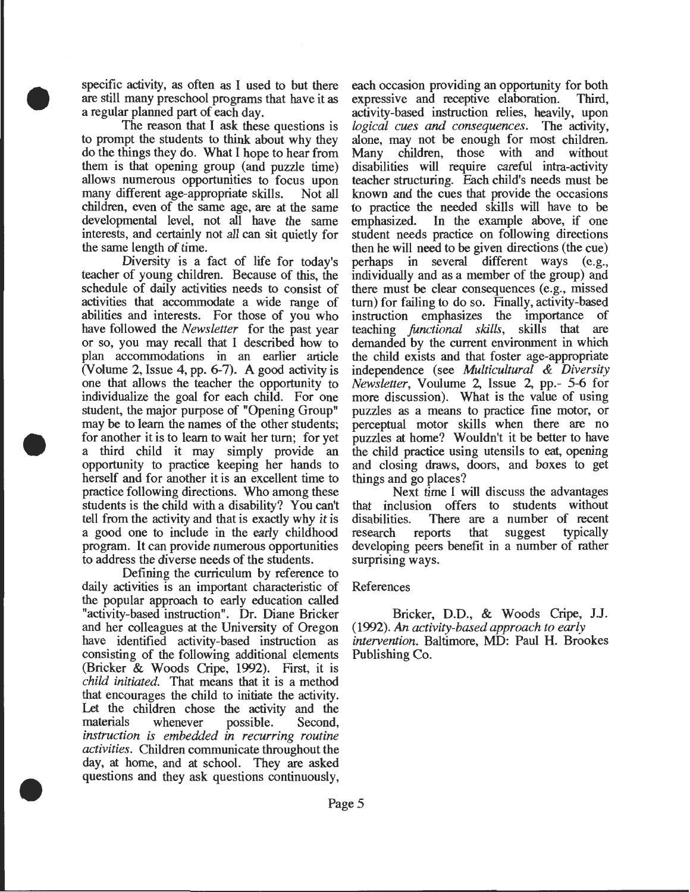specific activity, as often as I used to but there are still many preschool programs that have it as a regular planned part of each day.

•

•

•

The reason that I ask these questions is to prompt the students to think about why they do the things they do. What I hope to hear from them is that opening group (and puzzle time) allows numerous opportunities to focus upon many different age-appropriate skills. Not all children, even of the same age, are at the same developmental level, not all have the same interests, and certainly not all can sit quietly for the same length of time.

Diversity is a fact of life for today's teacher of young children. Because of this, the schedule of daily activities needs to consist of activities that accommodate a wide range of abilities and interests. For those of you who have followed the *Newsletter* for the past year or so, you may recall that I described how to plan accommodations in an earlier article (Volume 2, Issue 4, pp. 6-7). A good activity is one that allows the teacher the opportunity to individualize the goal for each child. For one student, the major purpose of "Opening Group" may be to learn the names of the other students; for another it is to learn to wait her tum; for yet a third child it may simply provide an opportunity to practice keeping her hands to herself and for another it is an excellent time to practice following directions. Who among these students is the child with a disability? You can't tell from the activity and that is exactly why it is a good one to include in the early childhood program. It can provide numerous opportunities to address the diverse needs of the students.

Defining the curriculum by reference to daily activities is an important characteristic of the popular approach to early education called "activity-based instruction". Dr. Diane Bricker and her colleagues at the University of Oregon have identified activity-based instruction as consisting of the following additional elements (Bricker & Woods Cripe, 1992). First, it is *child initialed.* That means that it is a method that encourages the child to initiate the activity. Let the children chose the activity and the materials whenever possible. Second, *instruction is embedded in recurring routine activities.* Children communicate throughout the day, at home, and at school. They are asked questions and they ask questions continuously,

each occasion providing an opportunity for both expressive and receptive elaboration. Third, expressive and receptive elaboration. activity-based instruction relies, heavily, upon *logical cues and consequences.* The activity, alone, may not be enough for most children.<br>Many children, those with and without Many children, those with and disabilities will require careful intra-activity teacher structuring. Each child's needs must be known and the cues that provide the occasions to practice the needed skills will have to be emphasized. In the example above, if one student needs practice on following directions then he will need to be given directions (the cue) perhaps in several different ways (e.g., individually and as a member of the group) and there must be clear consequences (e.g., missed tum) for failing to do so. Finally, activity-based instruction emphasizes the importance of teaching *functional sldlls,* skills that are demanded by the current environment in which the child exists and that foster age-appropriate independence (see *Multicultural* & *Diversity Newsletter,* Voulume 2, Issue 2, pp.- 5-6 for more discussion). What is the value of using puzzles as a means to practice fine motor, or perceptual motor skills when there are no puzzles at home? Wouldn't it be better to have the child practice using utensils to eat, opening and closing draws, doors, and boxes to get things and go places?

Next time I will discuss the advantages that inclusion offers to students without disabilities. There are a number of recent<br>research reports that suggest typically research reports that developing peers benefit in a number of rather surprising ways.

#### References

Bricker, D.D., & Woods Cripe, J.J. (1992). An *activity-based approach to early intervention.* Baltimore, MD: Paul H. Brookes Publishing Co.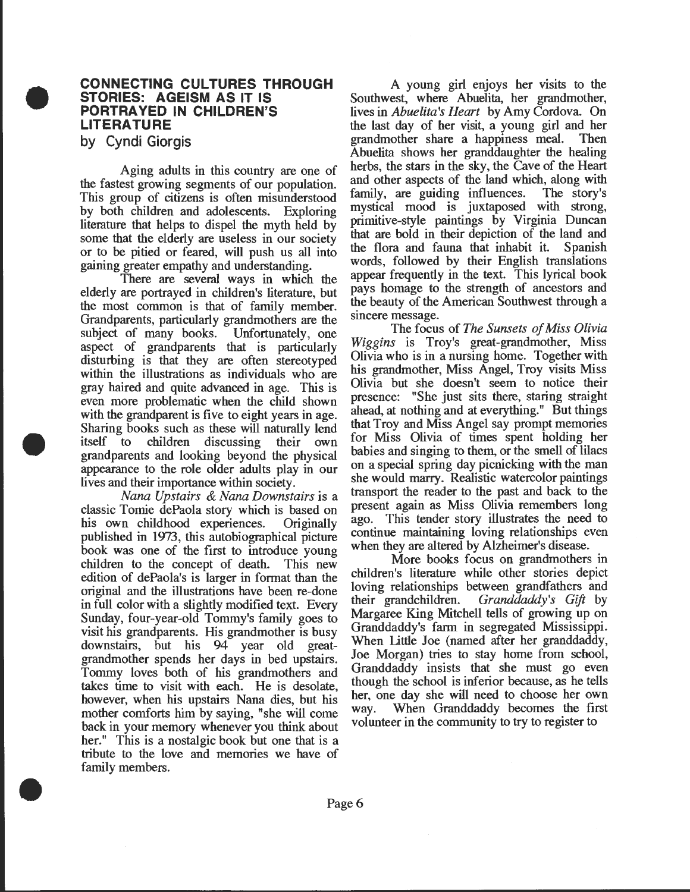#### **CONNECTING CULTURES THROUGH STORIES: AGEISM AS IT IS PORTRA YEO IN CHILDREN'S LITERATURE**

**by Cyndi Giorgis** 

•

•

•

Aging adults in this country are one of the fastest growing segments of our population. This group of citizens is often misunderstood by both children and adolescents. Exploring literature that helps to dispel the myth held by some that the elderly are useless in our society or to be pitied or feared, will push us all into gaining greater empathy and understanding.

There are several ways in which the elderly are portrayed in children's literature, but the most common is that of family member. Grandparents, particularly grandmothers are the subject of many books. Unfortunately, one aspect of grandparents that is particularly disturbing is that they are often stereotyped within the illustrations as individuals who are gray haired and quite advanced in age. This is even more problematic when the child shown with the grandparent is five to eight years in age. Sharing books such as these will naturally lend itself to children discussing their own grandparents and looking beyond the physical appearance to the role older adults play in our lives and their importance within society.

*Nana Upstairs & Nana Downstairs* is a classic Tomie dePaola story which is based on his own childhood experiences. Originally published in 1973, this autobiographical picture book was one of the first to introduce young children to the concept of death. This new edition of dePaola's is larger in format than the original and the illustrations have been re-done in full color with a slightly modified text. Every Sunday, four-year-old Tommy's family goes to visit his grandparents. His grandmother is busy downstairs, but his 94 year old greatgrandmother spends her days in bed upstairs. Tommy loves both of his grandmothers and takes time to visit with each. He is desolate however, when his upstairs Nana dies, but his mother comforts him by saying, "she will come back in your memory whenever you think about her." This is a nostalgic book but one that is a tribute to the love and memories we have of family members.

A young girl enjoys her visits to the Southwest, where Abuelita, her grandmother, lives in *Abuelita's Heart* by Amy Cordova. On the last day of her visit, a young girl and her grandmother share a happiness meal. Then Abuelita shows her granddaughter the healing herbs, the stars in the sky, the Cave of the Heart and other aspects of the land which, along with family, are guiding influences. The story's mystical mood is juxtaposed with strong, primitive-style paintings by Virginia Duncan that are bold in their depiction of the land and the flora and fauna that inhabit it. words, followed by their English translations appear frequently in the text. This lyrical book pays homage to the strength of ancestors and the beauty of the American Southwest through a sincere message.

The focus of *The Sunsets of Miss Olivia Wiggins* is Troy's great-grandmother, Miss Olivia who is in a nursing home. Together with his grandmother, Miss Angel, Troy visits Miss Olivia but she doesn't seem to notice their presence: "She just sits there, staring straight ahead, at nothing and at everything." But things that Troy and Miss Angel say prompt memories for Miss Olivia of times spent holding her babies and singing to them, or the smell of lilacs on a special spring day picnicking with the man she would marry. Realistic watercolor paintings transport the reader to the past and back to the present again as Miss Olivia remembers long ago. This tender story illustrates the need to continue maintaining loving relationships even when they are altered by Alzheimer's disease.

More books focus on grandmothers in children's literature while other stories depict loving relationships between grandfathers and their grandchildren. *Granddaddy's Gift* by Margaree King Mitchell tells of growing up on Granddaddy's farm in segregated Mississippi. When little Joe (named after her granddaddy, Joe Morgan) tries to stay home from school, Granddaddy insists that she must go even though the school is inferior because, as he tells her, one day she will need to choose her own way. When Granddaddy becomes the first volunteer in the community to try to register to

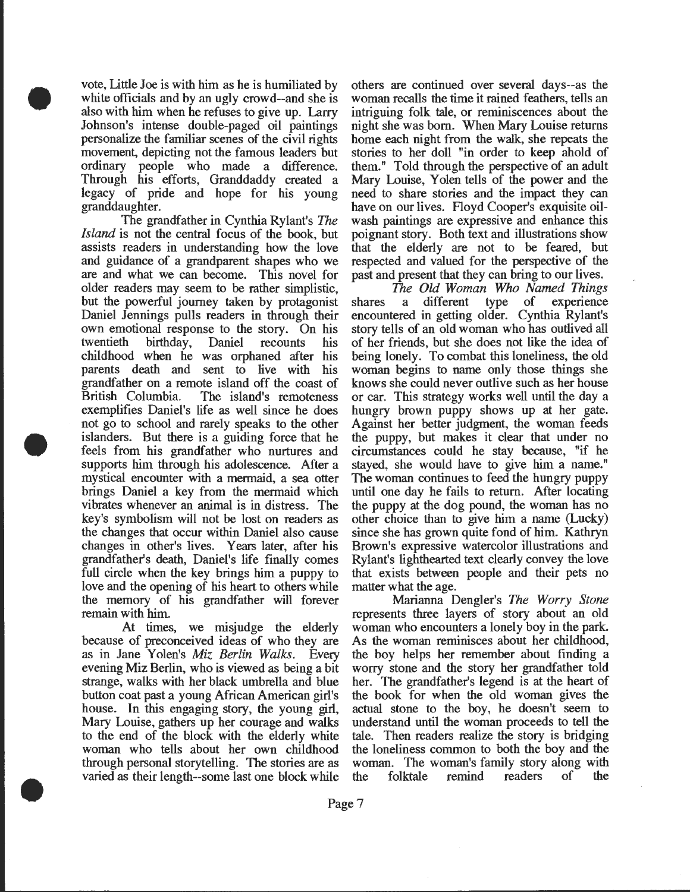vote, Little Joe is with him as he is humiliated by white officials and by an ugly crowd--and she is also with him when he refuses to give up. Larry Johnson's intense double-paged oil paintings personalize the familiar scenes of the civil rights movement, depicting not the famous leaders but ordinary people who made a difference. Through his efforts, Granddaddy created a legacy of pride and hope for his young granddaughter.

•

•

•

The grandfather in Cynthia Rylant's The *Island* is not the central focus of the book, but assists readers in understanding how the love and guidance of a grandparent shapes who we are and what we can become. This novel for older readers may seem to be rather simplistic, but the powerful journey taken by protagonist Daniel Jennings pulls readers in through their own emotional response to the story. On his twentieth birthday, Daniel recounts his childhood when he was orphaned after his parents death and sent to live with his grandfather on a remote island off the coast of British Columbia. The island's remoteness exemplifies Daniel's life as well since he does not go to school and rarely speaks to the other islanders. But there is a guiding force that he feels from his grandfather who nurtures and supports him through his adolescence. After a mystical encounter with a mermaid, a sea otter brings Daniel a key from the mermaid which vibrates whenever an animal is in distress. The key's symbolism will not be lost on readers as the changes that occur within Daniel also cause changes in other's lives. Years later, after his grandfather's death, Daniel's life finally comes full circle when the key brings him a puppy to love and the opening of his heart to others while the memory of his grandfather will forever remain with him.

At times, we misjudge the elderly because of preconceived ideas of who they are as in Jane Yolen's *Miz Berlin Walks.* Every evening Miz Berlin, who is viewed as being a bit strange, walks with her black umbrella and blue button coat past a young African American girl's house. In this engaging story, the young girl, Mary Louise, gathers up her courage and walks to the end of the block with the elderly white woman who tells about her own childhood through personal storytelling. The stories are as varied as their length--some last one block while

others are continued over several days--as the woman recalls the time it rained feathers, tells an intriguing folk tale, or reminiscences about the night she was born. When Mary Louise returns home each night from the walk, she repeats the stories to her doll "in order to keep ahold of them." Told through the perspective of an adult Mary Louise, Y olen tells of the power and the need to share stories and the impact they can have on our lives. Floyd Cooper's exquisite oilwash paintings are expressive and enhance this poignant story. Both text and illustrations show that the elderly are not to be feared, but respected and valued for the perspective of the past and present that they can bring to our lives.

The *Old Woman Who Named Things*  shares a different type of experience encountered in getting older. Cynthia Rylant's story tells of an old woman who has outlived all of her friends, but she does not like the idea of being lonely. To combat this loneliness, the old woman begins to name only those things she knows she could never outlive such as her house or car. This strategy works well until the day a hungry brown puppy shows up at her gate. Against her better judgment, the woman feeds the puppy, but makes it clear that under no circumstances could he stay because, "if he stayed, she would have to give him a name." The woman continues to feed the hungry puppy until one day he fails to return. After locating the puppy at the dog pound, the woman has no other choice than to give him a name (Lucky) since she has grown quite fond of him. Kathryn Brown's expressive watercolor illustrations and Rylant's lighthearted text clearly convey the love that exists between people and their pets no matter what the age.

Marianna Dengler's *The Worry Stone*  represents three layers of story about an old woman who encounters a lonely boy in the park. As the woman reminisces about her childhood, the boy helps her remember about finding a worry stone and the story her grandfather told her. The grandfather's legend is at the heart of the book for when the old woman gives the actual stone to the boy, he doesn't seem to understand until the woman proceeds to tell the tale. Then readers realize the story is bridging the loneliness common to both the boy and the woman. The woman's family story along with the folktale remind readers of the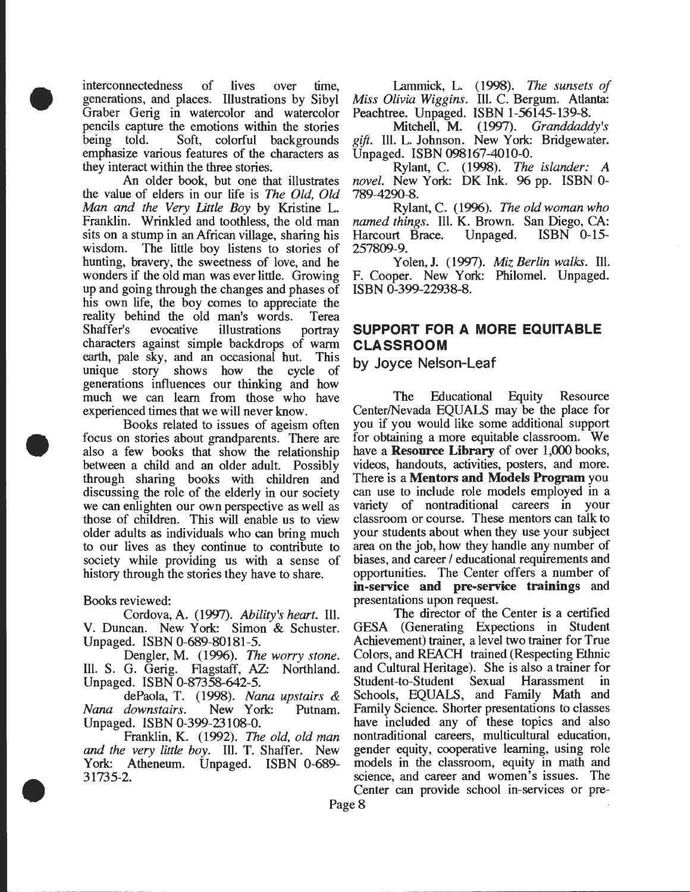interconnectedness of lives over time, generations, and places. Illustrations by Sibyl Graber Gerig in watercolor and watercolor pencils capture the emotions within the stories being told. Soft, colorful backgrounds emphasize various features of the characters as they interact within the three stories.

•

•

•

An older book, but one that illustrates the value of elders in our life is *The Old, Old Man and the Very little Boy* by Kristine L. Franklin. Wrinkled and toothless, the old man sits on a stump in an African village, sharing his wisdom. The little boy listens to stories of hunting, bravery, the sweetness of love, and he wonders if the old man was ever little. Growing up and going through the changes and phases of his own life, the boy comes to appreciate the reality behind the old man's words. Terea Shaffer's evocative illustrations portray characters against simple backdrops of warm earth, pale sky, and an occasional hut. This unique story shows how the cycle of generations influences our thinking and how much we can learn from those who have experienced times that we will never know.

Books related to issues of ageism often focus on stories about grandparents. There are also a few books that show the relationship between a child and an older adult. Possibly through sharing books with children and discussing the role of the elderly in our society we can enlighten our own perspective as well as those of children. This will enable us to view older adults as individuals who can bring much to our lives as they continue to contribute to society while providing us with a sense of history through the stories they have to share.

#### Books reviewed:

Cordova, A. (1997). *Ability's heart.* Ill. V. Duncan. New York: Simon & Schuster. Unpaged. ISBN 0-689-80181-5.

Dengler, M. (1996). *The worry stone.*  Ill. S. G. Gerig. Flagstaff, AZ: Northland. Unpaged. ISBN 0-87358-642-5.

dePaola, T. (1998). *Nana upstairs* & *Nana downstairs.* New York: Putnam. Unpaged. ISBN 0-399-23108-0.

Franklin, K. (1992). *The old, old man and the very little boy.* Ill. T. Shaffer. New York: Atheneum. Unpaged. ISBN 0-689- 31735-2.

Lammick, L. (1998). *The sunsets of Miss Olivia Wiggins.* IlL C. Bergum. Atlanta: Peachtree. Unpaged. ISBN 1-56145-139-8.

Mitchell, **M.** (1997). *Granddaddy's gift.* IlL L. Johnson. New York: Bridgewater. Unpaged. ISBN 098167-4010-0.

Rylant, C. (1998). The *islander: A novel.* New York: DK Ink. 96 pp. ISBN 0- 789-4290-8.

Rylant, C. (1996). *The old woman who named things.* Ill. K. Brown. San Diego, CA:<br>Harcourt Brace. Unpaged. ISBN 0-15-Harcourt Brace. Unpaged. ISBN 0-15- 257809-9.

Yolen,J. (1997). *Miz Berlin walks.* Ill. F. Cooper. New York: Philomel. Unpaged. ISBN 0-399-22938-8.

## **SUPPORT FOR A MORE EQUITABLE CLASSROOM**

**by Joyce Nelson-Leaf** 

The Educational Equity Resource Center/Nevada EQUALS may be the place for you if you would like some additional support for obtaining a more equitable classroom. We have a **Resource Library** of over 1,000 books, videos, handouts, activities, posters, and more. There is a **Mentors and Models Program** you can use to include role models employed in a variety of nontraditional careers in your classroom or course. These mentors can talk to your students about when they use your subject area on the job, how they handle any number of biases, and career / educational requirements and opportunities. The Center offers a number of **in-service and pre-service trainings** and presentations upon request.

The director of the Center is a certified GESA (Generating Expections in Student Achievement) trainer, a level two trainer for True Colors, and REACH trained (Respecting Ethnic and Cultural Heritage). She is also a trainer for Student-to-Student Sexual Harassment in Schools, EQUALS, and Family Math and Family Science. Shorter presentations to classes have included any of these topics and also nontraditional careers, multicultural education, gender equity, cooperative learning, using role models in the classroom, equity in math and science, and career and women's issues. The Center can provide school in-services or pre-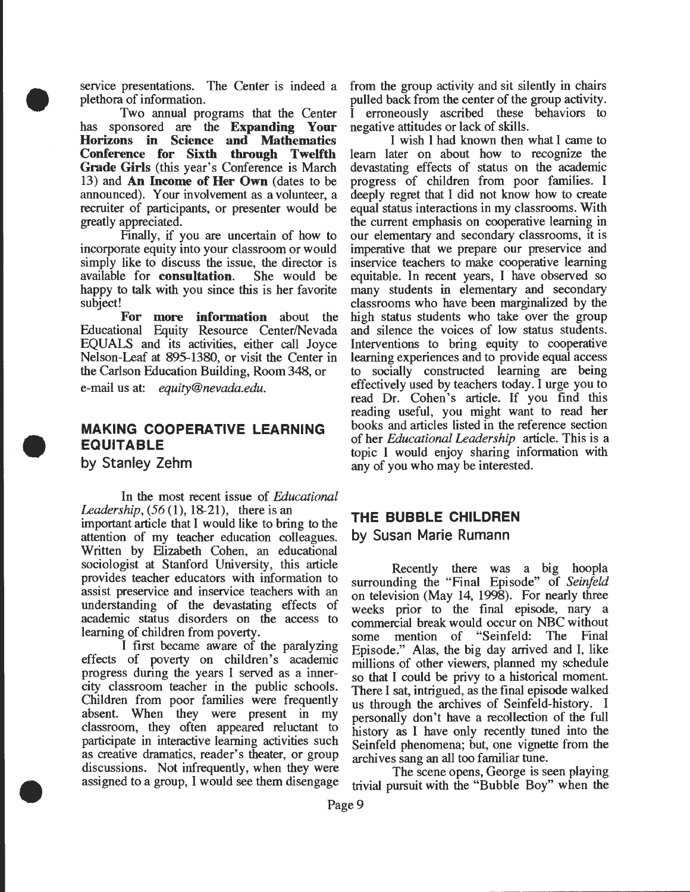service presentations. The Center is indeed a plethora of information.

•

•

•

Two annual programs that the Center has sponsored are the **Expanding Your Horizons in Science and Mathematics Conference for Sixth through Twelfth Grade Girls** (this year's Conference is March 13) and **An Income of Her Own** (dates to be announced). Your involvement as a volunteer, a recruiter of participants, or presenter would be greatly appreciated.

Finally, if you are uncertain of how to incorporate equity into your classroom or would simply like to discuss the issue, the director is available for **consultation.** She would be happy to talk with you since this is her favorite subject!

**For more information** about the Educational Equity Resource Center/Nevada EQUALS and its activities, either call Joyce Nelson-Leaf at 895-1380, or visit the Center in the Carlson Education Building, Room 348, or

e-mail us at: *equity@nevada.edu.* 

### **MAKING COOPERATIVE LEARNING EQUITABLE by Stanley Zehm**

In the most recent issue of *Educational Leadership,* (56(1), 18-21), there is an important article that **1** would like to bring to the **THE BUBBLE CHILDREN**  attention of my teacher education colleagues. **by Susan Marie Rumann**  Written by Elizabeth Cohen, an educational sociologist at Stanford University, this article<br>provides teacher educators with information to surrounding the "Final Frisode" of Seinfeld provides teacher educators with information to surrounding the "Final Episode" of *Seinfeld*  assist preservice and inservice teachers with an on television (May 14, 1998). For nearly three understanding of the devastating effects of weeks prior to the final episode nary a understanding of the devastating effects of weeks prior to the final episode, nary a academic status disorders on the access to commercial break would occur on NBC without

I first became aware of the paralyzing Episode." Alas, the big day arrived and I, like<br>effects of poverty on children's academic millions of other viewers planned my schedule effects of poverty on children's academic millions of other viewers, planned my schedule<br>progress during the years I served as a inner-<br>so that I could be privy to a historical moment. progress during the years I served as a inner-<br>city classroom teacher in the public schools. There I set intrigued as the final enisode walked city classroom teacher in the public schools. There 1 sat, intrigued, as the final episode walked absent. When they were present in my personally don't have a recollection of the full classroom, they often appeared reluctant to bistory as I have only recently tuned into the classroom, they often appeared reluctant to history as I have only recently tuned into the participate in interactive learning activities such seinfeld phenomena; but one vignette from the as creative dramatics, reader's theater, or group archives sang an all too familiar tune. discussions. Not infrequently, when they were<br>assigned to a group, I would see them disengage<br>trivial pursuit with the "Bubble Boy" when the

from the group activity and sit silently in chairs pulled back from the center of the group activity. erroneously ascribed these behaviors to negative attitudes or lack of skills.

I wish I had known then what I came to learn later on about how to recognize the devastating effects of status on the academic progress of children from poor families. I deeply regret that I did not know how to create equal status interactions in my classrooms. With the current emphasis on cooperative learning in our elementary and secondary classrooms, it is imperative that we prepare our preservice and inservice teachers to make cooperative learning equitable. In recent years, I have observed so many students in elementary and secondary classrooms who have been marginalized by the high status students who take over the group and silence the voices of low status students. Interventions to bring equity to cooperative learning experiences and to provide equal access to socially constructed learning are being effectively used by teachers today. I urge you to read Dr. Cohen's article. If you find this reading useful, you might want to read her books and articles listed in the reference section of her *Educational Leadership* article. This is a topic I would enjoy sharing information with any of you who may be interested.

academic status disorders on the access to commercial break would occur on NBC without learning of children from poverty. g of children from poverty.<br>I first became aware of the paralyzing Frisode," Also the big day arrived and Like us through the archives of Seinfeld-history. I Seinfeld phenomena; but, one vignette from the

trivial pursuit with the "Bubble Boy" when the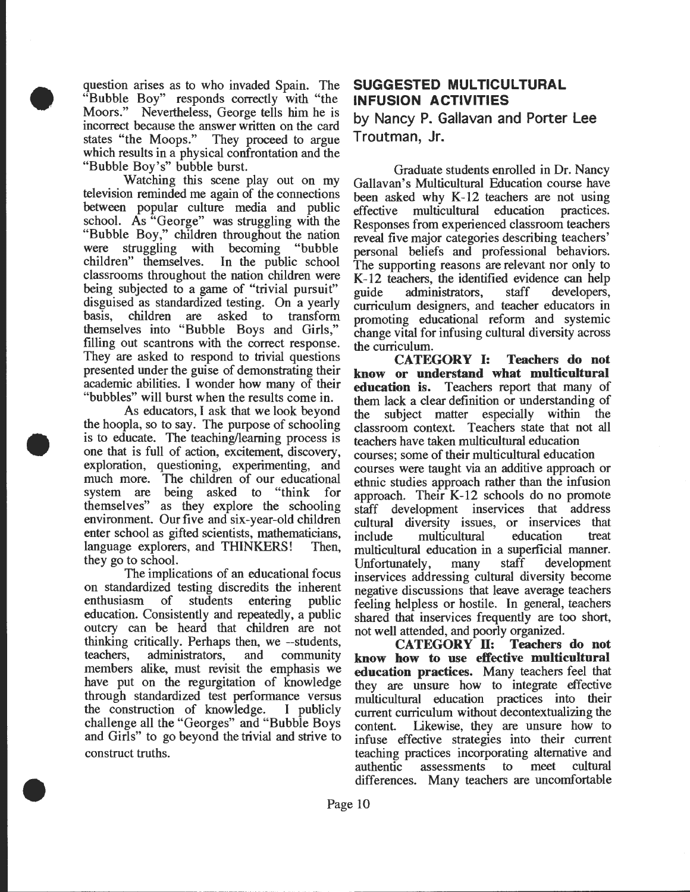question arises as to who invaded Spain. The "Bubble Boy" responds correctly with "the Moors." Nevertheless, George tells him he is incorrect because the answer written on the card<br>states "the Moops." They proceed to argue They proceed to argue. which results in a physical confrontation and the "Bubble Boy's" bubble burst.

•

•

•

Watching this scene play out on my television reminded me again of the connections between popular culture media and public school. As "George" was struggling with the "Bubble Boy," children throughout the nation were struggling with becoming "bubble children" themselves. In the public school classrooms throughout the nation children were being subjected to a game of "trivial pursuit" disguised as standardized testing. On a yearly<br>basis, children are asked to transform basis, children are asked to transform themselves into "Bubble Boys and Girls," filling out scantrons with the correct response. They are asked to respond to trivial questions presented under the guise of demonstrating their academic abilities. I wonder how many of their "bubbles" will burst when the results come in.

As educators, I ask that we look beyond the hoopla, so to say. The purpose of schooling is to educate. The teaching/learning process is one that is full of action, excitement, discovery, exploration, questioning, experimenting, and much more. The children of our educational system are being asked to "think for themselves" as they explore the schooling environment. Our five and six-year-old children enter school as gifted scientists, mathematicians, language explorers, and THINKERS! Then, they go to school.

The implications of an educational focus on standardized testing discredits the inherent enthusiasm of students entering public education. Consistently and repeatedly, a public outcry can be heard that children are not thinking critically. Perhaps then, we --students, teachers, administrators, and community members alike, must revisit the emphasis we have put on the regurgitation of knowledge through standardized test performance versus the construction of knowledge. I publicly challenge all the "Georges" and "Bubble Boys and Girls" to go beyond the trivial and strive to construct truths.

## SUGGESTED MULTICULTURAL INFUSION ACTIVITIES

by Nancy P. Gallavan and Porter Lee Troutman, Jr.

Graduate students enrolled in Dr. Nancy Gallavan's Multicultural Education course have been asked why  $K-12$  teachers are not using effective multicultural education practices. Responses from experienced classroom teachers reveal five major categories describing teachers' personal beliefs and professional behaviors. The supporting reasons are relevant nor only to K-12 teachers, the identified evidence can help<br>guide administrators, staff developers, administrators, staff developers, curriculum designers, and teacher educators in promoting educational reform and systemic change vital for infusing cultural diversity across the curriculum.

CATEGORY 1: Teachers do not know or understand what multicultural education is. Teachers report that many of them lack a clear definition or understanding of the subject matter especially within the classroom context. Teachers state that not all teachers have taken multicultural education courses; some of their multicultural education courses were taught via an additive approach or ethnic studies approach rather than the infusion approach. Their K-12 schools do no promote staff development inservices that address cultural diversity issues, or inservices that include multicultural education treat multicultural education in a superficial manner. Unfortunately, many staff development inservices addressing cultural diversity become negative discussions that leave average teachers feeling helpless or hostile. In general, teachers shared that inservices frequently are too short, not well attended, and poorly organized.<br>CATEGORY II: Teachers do not

CATEGORY II: know how to use effective multicultural education practices. Many teachers feel that they are unsure how to integrate effective multicultural education practices into their current curriculum without decontextualizing the content. likewise, they are unsure how to infuse effective strategies into their current teaching practices incorporating alternative and authentic assessments to meet cultural differences. Many teachers are uncomfortable

Page 10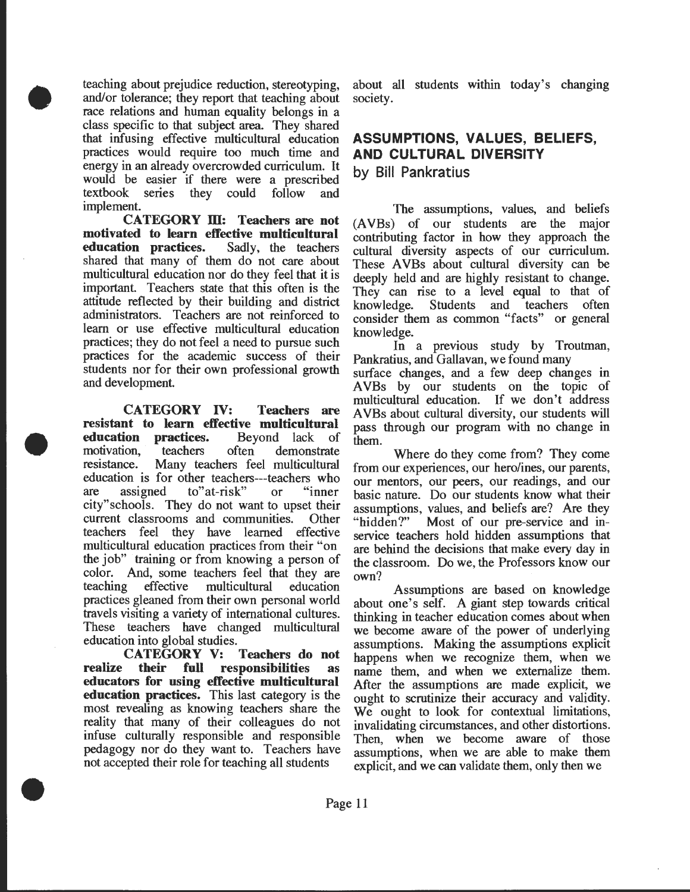teaching about prejudice reduction, stereotyping, and/or tolerance; they report that teaching about race relations and human equality belongs in a class specific to that subject area. They shared that infusing effective multicultural education practices would require too much time and energy in an already overcrowded curriculum. It would be easier if there were a prescribed textbook series they could follow and implement.

•

•

•

**CATEGORY m: Teachers are not motivated to learn effective multicultural education practices.** Sadly, the teachers shared that many of them do not care about multicultural education nor do they feel that it is important. Teachers state that this often is the attitude reflected by their building and district administrators. Teachers are not reinforced to learn or use effective multicultural education practices; they do not feel a need to pursue such practices for the academic success of their students nor for their own professional growth and development.

**CATEGORY IV: Teachers are resistant to learn effective multicultural education practices.** Beyond lack of motivation, teachers often demonstrate resistance. Many teachers feel multicultural education is for other teachers---teachers who are assigned to"at-risk" or "inner city"schools. They do not want to upset their current classrooms and communities. Other teachers feel they have learned effective multicultural education practices from their "on the job" training or from knowing a person of color. And, some teachers feel that they are teaching effective multicultural education practices gleaned from their own personal world travels visiting a variety of international cultures. These teachers have changed multicultural education into global studies.

**CATEGORY V: Teachers do not realize their full responsibilities as educators for using effective multicultural education practices.** This last category is the most revealing as knowing teachers share the reality that many of their colleagues do not infuse culturally responsible and responsible pedagogy nor do they want to. Teachers have not accepted their role for teaching all students

about all students within today's changing society.

## **ASSUMPTIONS, VALUES, BELIEFS, AND CULTURAL DIVERSITY**

**by Bill Pankratius** 

The assumptions, values, and beliefs (A VBs) of our students are the major contributing factor in how they approach the cultural diversity aspects of our curriculum. These AVBs about cultural diversity can be deeply held and are highly resistant to change. They can rise to a level equal to that of knowledge. Students and teachers often consider them as common "facts" or general knowledge.

In a previous study by Troutman, Pankratius, and Gallavan, we found many

surface changes, and a few deep changes in A VBs by our students on the topic of multicultural education. If we don't address A VBs about cultural diversity, our students will pass through our program with no change in

them.<br>Where do they come from? They come from our experiences, our hero/ines, our parents, our mentors, our peers, our readings, and our basic nature. Do our students know what their assumptions, values, and beliefs are? Are they "hidden?" Most of our pre-service and inservice teachers hold hidden assumptions that are behind the decisions that make every day in the classroom. Do we, the Professors know our own?

Assumptions are based on knowledge about one's self. A giant step towards critical thinking in teacher education comes about when we become aware of the power of underlying assumptions. Making the assumptions explicit happens when we recognize them, when we name them, and when we externalize them. After the assumptions are made explicit, we ought to scrutinize their accuracy and validity. We ought to look for contextual limitations, invalidating circumstances, and other distortions. Then, when we become aware of those assumptions, when we are able to make them explicit, and we can validate them, only then we

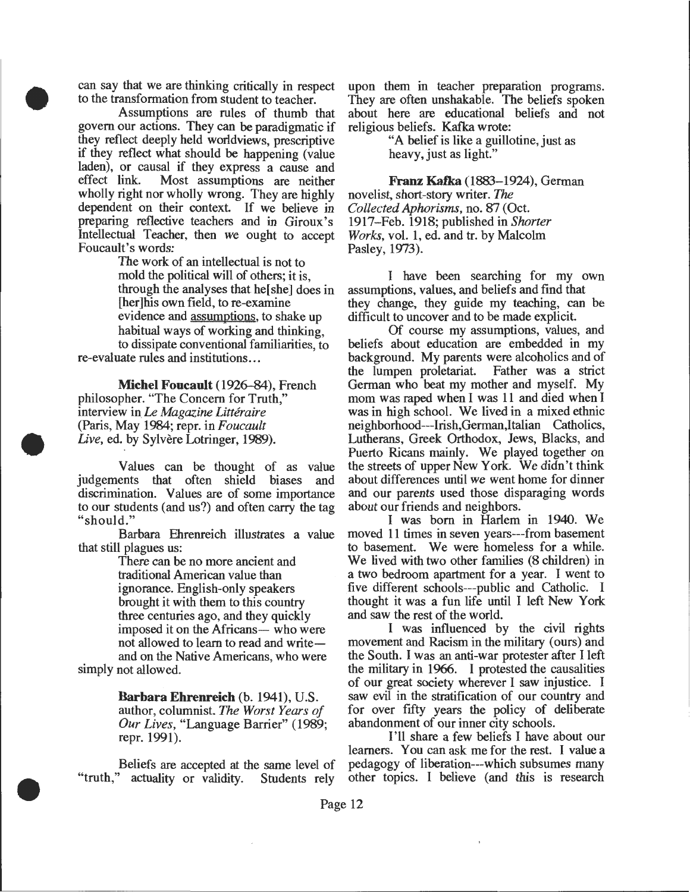can say that we are thinking critically in respect to the transformation from student to teacher.

•

•

•

Assumptions are rules of thumb that govern our actions. They can be paradigmatic if they reflect deeply held worldviews, prescriptive if they reflect what should be happening (value laden), or causal if they express a cause and Most assumptions are neither wholly right nor wholly wrong. They are highly dependent on their context. If we believe in preparing reflective teachers and in Giroux's Intellectual Teacher, then we ought to accept Foucault's words:

The work of an intellectual is not to mold the political will of others; it is, through the analyses that he[ she] does in [her]his own field, to re-examine evidence and assumptions, to shake up habitual ways of working and thinking, to dissipate conventional familiarities, to re-evaluate rules and institutions ...

**Michel Foucault** (1926-84), French philosopher. "The Concern for Truth," interview in Le *Magazine Litteraire*  (Paris, May 1984; repr. in *Foucault*  Live, ed. by Sylvère Lotringer, 1989).

Values can be thought of as value judgements that often shield biases and discrimination. Values are of some importance to our students (and us?) and often carry the tag "should."

Barbara Ehrenreich illustrates a value that still plagues us:

There can be no more ancient and traditional American value than ignorance. English-only speakers brought it with them to this country three centuries ago, and they quickly imposed it on the Africans- who were not allowed to learn to read and writeand on the Native Americans, who were simply not allowed.

> **Barbara Ehrenreich** (b. 1941), U.S. author, columnist. *The Worst Years of Our Lives,* "Language Barrier" (1989; repr. 1991).

Beliefs are accepted at the same level of "truth," actuality or validity. Students rely

upon them in teacher preparation programs. They are often unshakable. The beliefs spoken about here are educational beliefs and not religious beliefs. Kafka wrote:

"A belief is like a guillotine, just as heavy, just as light."

**Franz Kafka** (1883-1924), German novelist, short-story writer. The *Collected Aphorisms, no. 87 (Oct.* 1917-Feb. 1918; published in *Shorter Works,* vol. 1, ed. and tr. by Malcolm Pasley, 1973).

I have been searching for my own assumptions, values, and beliefs and find that they change, they guide my teaching, can be difficult to uncover and to be made explicit.

Of course my assumptions, values, and beliefs about education are embedded in my background. My parents were alcoholics and of<br>the lumpen proletariat. Father was a strict the lumpen proletariat. German who beat my mother and myself. My mom was raped when I was 11 and died when I was in high school. We lived in a mixed ethnic neighborhood---Irish,German,ltalian Catholics, Lutherans, Greek Orthodox, Jews, Blacks, and Puerto Ricans mainly. We played together on the streets of upper New York. We didn't think about differences until we went home for dinner and our parents used those disparaging words about our friends and neighbors.

I was born in Harlem in 1940. We moved 11 times in seven years---from basement to basement. We were homeless for a while. We lived with two other families (8 children) in a two bedroom apartment for a year. I went to five different schools---public and Catholic. I thought it was a fun life until I left New York and saw the rest of the world.

I was influenced by the civil rights movement and Racism in the military (ours) and the South. I was an anti-war protester after I left the military in 1966. I protested the causalities of our great society wherever I saw injustice. I saw evil in the stratification of our country and for over fifty years the policy of deliberate abandonment of our inner city schools.

I'll share a few beliefs I have about our learners. You can ask me for the rest. I value a pedagogy of liberation---which subsumes many other topics. I believe (and this is research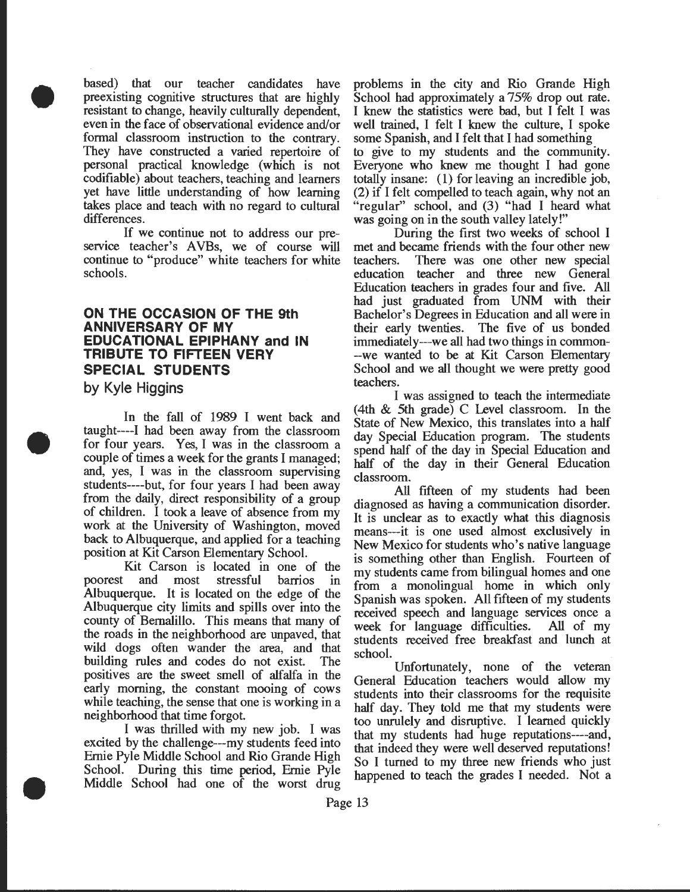based) that our teacher candidates have preexisting cognitive structures that are highly resistant to change, heavily culturally dependent, even in the face of observational evidence and/or formal classroom instruction to the contrary. They have constructed a varied repertoire of personal practical knowledge (which is not codifiable) about teachers, teaching and learners yet have little understanding of how learning takes place and teach with no regard to cultural differences.

If we continue not to address our preservice teacher's AVBs, we of course will continue to "produce" white teachers for white schools.

#### **ON THE OCCASION OF THE 9th ANNIVERSARY OF MY EDUCATIONAL EPIPHANY and IN TRIBUTE TO FIFTEEN VERY SPECIAL STUDENTS**

**by Kyle Higgins** 

•

•

•

In the fall of 1989 I went back and taught----1 had been away from the classroom for four years. Yes, I was in the classroom a couple of times a week for the grants I managed; and, yes, I was in the classroom supervising students----but, for four years I had been away from the daily, direct responsibility of a group of children. I took a leave of absence from my work at the University of Washington, moved back to Albuquerque, and applied for a teaching position at Kit Carson Elementary School.

Kit Carson is located in one of the poorest and most stressful barrios in Albuquerque. It is located on the edge of the Albuquerque city limits and spills over into the county of Bernalillo. This means that many of the roads in the neighborhood are unpaved, that wild dogs often wander the area, and that building rules and codes do not exist. The positives are the sweet smell of alfalfa in the early morning, the constant mooing of cows while teaching, the sense that one is working in a neighborhood that time forgot.

I was thrilled with my new job. I was excited by the challenge---my students feed into Ernie Pyle Middle School and Rio Grande High School. During this time period, Ernie Pyle Middle School had one of the worst drug problems in the city and Rio Grande High School had approximately a 75% drop out rate. I knew the statistics were bad, but I felt I was well trained, I felt I knew the culture, I spoke some Spanish, and I felt that I had something. to give to my students and the commumty. Everyone who knew me thought I had gone totally insane: (1) for leaving an incredible job, (2) if I felt compelled to teach again, why not an "regular" school, and (3) "had I heard what was going on in the south valley lately!"

During the first two weeks of school I met and became friends with the four other new teachers. There was one other new special education teacher and three new General Education teachers in grades four and five. All had just graduated from UNM with their Bachelor's Degrees in Education and all were in their early twenties. The five of us bonded immediately---we all had two things in common- -we wanted to be at Kit Carson Elementary School and we all thought we were pretty good teachers.

I was assigned to teach the intermediate (4th & 5th grade) C Level classroom. In the State of New Mexico, this translates into a half day Special Education program. The students spend half of the day in Special Education and half of the day in their General Education classroom.

All fifteen of my students had been diagnosed as having a communication disorder. It is unclear as to exactly what this diagnosis means---it is one used almost exclusively in New Mexico for students who's native language is something other than English. Fourteen of my students came from bilingual homes and one from a monolingual home in which only Spanish was spoken. All fifteen of my students received speech and language services once a week for language difficulties. All of my students received free breakfast and lunch at school.

Unfortunately, none of the veteran General Education teachers would allow my students into their classrooms for the requisite half day. They told me that my students were too unrulely and disruptive. I learned quickly that my students had huge reputations---~and, that indeed they were well deserved reputations! So I turned to my three new friends who just happened to teach the grades I needed. Not a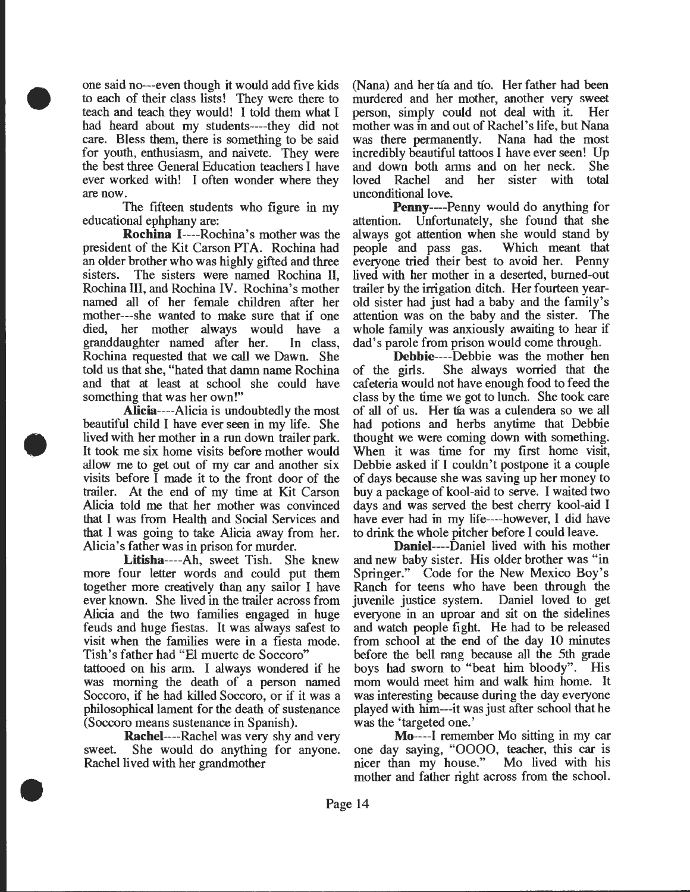one said no---even though it would add five kids to each of their class lists! They were there to teach and teach they would! I told them what I had heard about my students----they did not care. Bless them, there is something to be said for youth, enthusiasm, and naivete. They were the best three General Education teachers I have ever worked with! I often wonder where they are now.

•

•

•

The fifteen students who figure in my educational ephphany are:

Rochina 1----Rochina's mother was the president of the Kit Carson PTA. Rochina had an older brother who was highly gifted and three sisters. The sisters were named Rochina II, Rochina Ill, and Rochina IV. Rochina's mother named all of her female children after her mother---she wanted to make sure that if one died, her mother always would have a granddaughter named after her. In class, Rochina requested that we call we Dawn. She told us that she, "hated that damn name Rochina and that at least at school she could have something that was her own!"

Alicia----Alicia is undoubtedly the most beautiful child I have ever seen in my life. She lived with her mother in a run down trailer park. It took me six home visits before mother would allow me to get out of my car and another six visits before I made it to the front door of the trailer. At the end of my time at Kit Carson Alicia told me that her mother was convinced that I was from Health and Social Services and that I was going to take Alicia away from her. Alicia's father was in prison for murder.

Litisha----Ah, sweet Tish. She knew more four letter words and could put them together more creatively than any sailor I have ever known. She lived in the trailer across from Alicia and the two families engaged in huge feuds and huge fiestas. It was always safest to visit when the families were in a fiesta mode. Tish's father had "El muerte de Soccoro" tattooed on his arm. I always wondered if he was morning the death of a person named Soccoro, if he had killed Soccoro, or if it was a philosophical lament for the death of sustenance (Soccoro means sustenance in Spanish).

**Rachel----Rachel was very shy and very** sweet. She would do anything for anyone. Rachel lived with her grandmother

(Nana) and her tía and tío. Her father had been murdered and her mother, another very sweet person, simply could not deal with it. Her mother was in and out of Rachel's life, but Nana was there permanently. Nana had the most incredibly beautiful tattoos I have ever seen! Up and down both arms and on her neck. She<br>loved Rachel and her sister with total and her sister unconditional love.

Penny----Penny would do anything for attention. Unfortunately, she found that she always got attention when she would stand by people and pass gas. Which meant that people and pass gas. everyone tried their best to avoid her. Penny lived with her mother in a deserted, burned-out trailer by the irrigation ditch. Her fourteen yearold sister had just had a baby and the family's attention was on the baby and the sister. The whole family was anxiously awaiting to hear if dad's parole from prison would come through.

Debbie----Debbie was the mother hen of the girls. She always worried that the cafeteria would not have enough food to feed the class by the time we got to lunch. She took care of all of us. Her tfa was a culendera so we all had potions and herbs anytime that Debbie thought we were coming down with something. When it was time for my first home visit, Debbie asked if I couldn't postpone it a couple of days because she was saving up her money to buy a package of kool-aid to serve. I waited two days and was served the best cherry kool-aid I have ever had in my life----however, I did have to drink the whole pitcher before I could leave.

Daniel----Daniel lived with his mother and new baby sister. His older brother was "in Springer." Code for the New Mexico Boy's Ranch for teens who have been through the juvenile justice system. Daniel loved to get everyone in an uproar and sit on the sidelines and watch people fight. He had to be released from school at the end of the day 10 minutes before the bell rang because all the 5th grade boys had sworn to "beat him bloody". His mom would meet him and walk him home. It was interesting because during the day everyone played with him---it was just after school that he was the 'targeted one.'

Mo----1 remember Mo sitting in my car one day saying, "OOOO, teacher, this car is nicer than my house." Mo lived with his nicer than my house." mother and father right across from the school.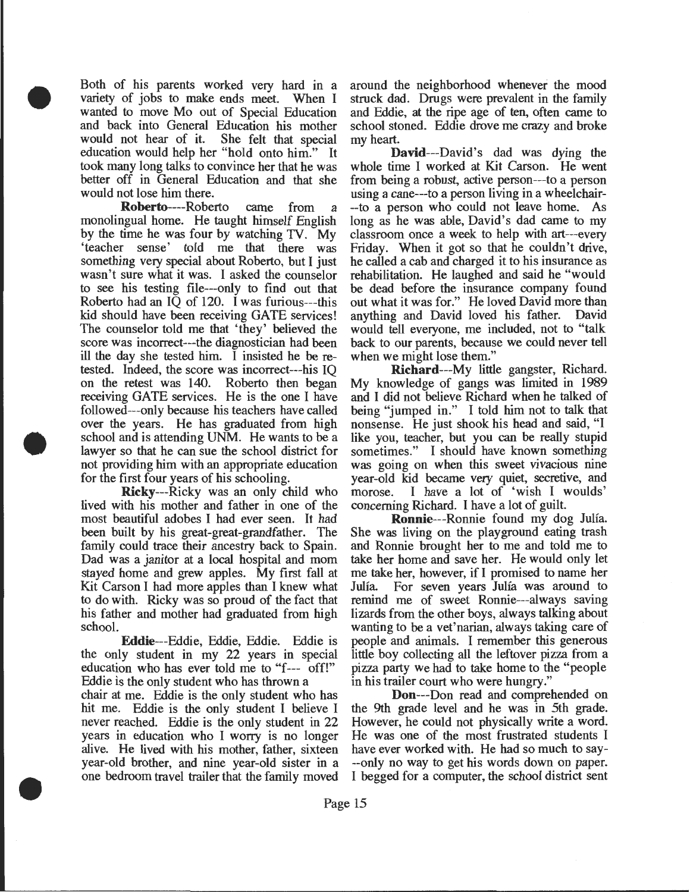Both of his parents worked very hard in a variety of jobs to make ends meet. When I wanted to move Mo out of Special Education and back into General Education his mother would not hear of it. She felt that special education would help her "hold onto him." It took many long talks to convince her that he was better off in General Education and that she would not lose him there.

•

•

•

Roberto----Roberto came from a monolingual home. He taught himself English by the time he was four by watching TV. My 'teacher sense' told me that there was something very special about Roberto, but I just wasn't sure what it was. I asked the counselor to see his testing file---only to find out that Roberto had an IQ of 120. I was furious---this kid should have been receiving GATE services! The counselor told me that 'they' believed the score was incorrect---the diagnostician had been ill the day she tested him. I insisted he be retested. Indeed, the score was incorrect---his IQ on the retest was 140. Roberto then began receiving GATE services. He is the one I have followed---only because his teachers have called over the years. He has graduated from high school and is attending UNM. He wants to be a lawyer so that he can sue the school district for not providing him with an appropriate education for the first four years of his schooling.

Ricky---Ricky was an only child who lived with his mother and father in one of the most beautiful adobes I had ever seen. It had been built by his great-great-grandfather. The family could trace their ancestry back to Spain. Dad was a janitor at a local hospital and mom stayed home and grew apples. My first fall at Kit Carson I had more apples than I knew what to do with. Ricky was so proud of the fact that his father and mother had graduated from high school.

Eddie---Eddie, Eddie, Eddie. Eddie is the only student in my 22 years in special education who has ever told me to "f--- off!" Eddie is the only student who has thrown a

chair at me. Eddie is the only student who has hit me. Eddie is the only student I believe I never reached. Eddie is the only student in 22 years in education who I worry is no longer alive. He lived with his mother, father, sixteen year-old brother, and nine year-old sister in a one bedroom travel trailer that the family moved

around the neighborhood whenever the mood struck dad. Drugs were prevalent in the family and Eddie, at the ripe age of ten, often came to school stoned. Eddie drove me crazy and broke my heart.

David---David's dad was dying the whole time I worked at Kit Carson. He went from being a robust, active person---to a person using a cane---to a person living in a wheelchair- --to a person who could not leave home. As long as he was able, David's dad came to my classroom once a week to help with art---every Friday. When it got so that he couldn't drive, he called a cab and charged it to his insurance as rehabilitation. He laughed and said he "would be dead before the insurance company found out what it was for." He loved David more than anything and David loved his father. David would tell everyone, me included, not to "talk back to our parents, because we could never tell when we might lose them."

Richard---My little gangster, Richard. My knowledge of gangs was limited in 1989 and I did not believe Richard when he talked of being "jumped in." I told him not to talk that nonsense. He just shook his head and said, "I like you, teacher, but you can be really stupid sometimes." I should have known something was going on when this sweet vivacious nine year-old kid became very quiet, secretive, and morose. I have a lot of 'wish I woulds' concerning Richard. I have a lot of guilt

Ronnie---Ronnie found my dog Julia. She was living on the playground eating trash and Ronnie brought her to me and told me to take her home and save her. He would only let me take her, however, if I promised to name her Julia. For seven years Julia was around to remind me of sweet Ronnie---always saving lizards from the other boys, always talking about wanting to be a vet'narian, always taking care of people and animals. I remember this generous little boy collecting all the leftover pizza from a pizza party we had to take home to the "people in his trailer court who were hungry."

Don---Don read and comprehended on the 9th grade level and he was in 5th grade. However, he could not physically write a word. He was one of the most frustrated students I have ever worked with. He had so much to say- --only no way to get his words down on paper. I begged for a computer, the school district sent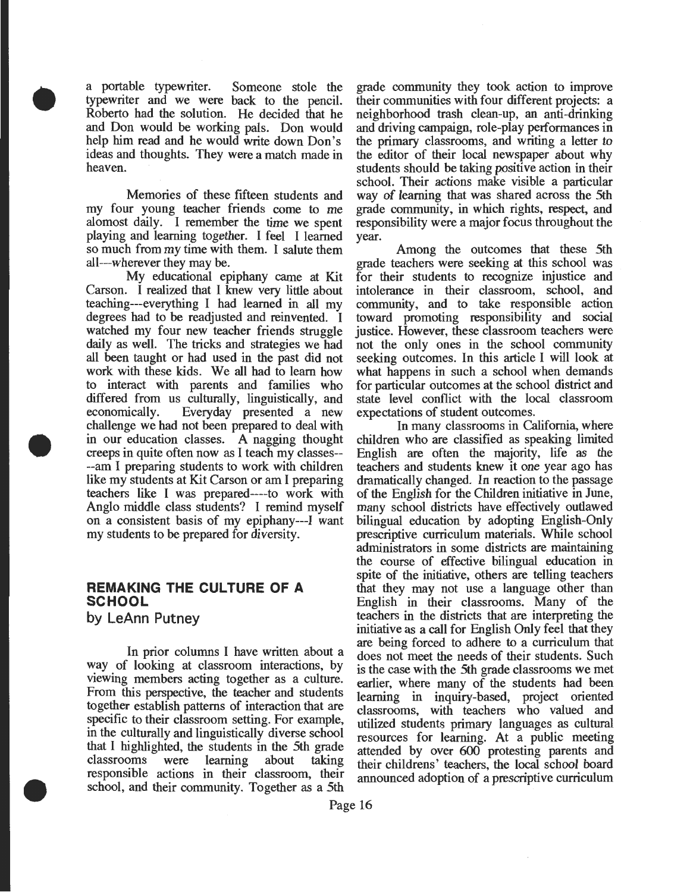a portable typewriter. Someone stole the typewriter and we were back to the pencil. Roberto had the solution. He decided that he and Don would be working pals. Don would help him read and he would write down Don's ideas and thoughts. They were a match made in heaven.

•

•

•

Memories of these fifteen students and my four young teacher friends come to me alomost daily. I remember the time we spent playing and learning together. I feel I learned so much from my time with them. I salute them all---wherever they may be.

My educational epiphany came at Kit Carson. I realized that I knew *very* little about teaching---everything I had learned in all my degrees had to be readjusted and reinvented. I watched my four new teacher friends struggle daily as well. The tricks and strategies we had all been taught or had used in the past did not work with these kids. We all had to learn how to interact with parents and families who differed from us culturally, linguistically, and economically. Everyday presented a new challenge we had not been prepared to deal with in our education classes. A nagging thought creeps in quite often now as I teach my classes-- --am I preparing students to work with children like my students at Kit Carson or am I preparing teachers like I was prepared----to work with Anglo middle class students? I remind myself on a consistent basis of my epiphany---! want my students to be prepared for diversity.

#### **REMAKING THE CULTURE OF A SCHOOL**

**by LeAnn Putney** 

In prior columns I have written about a way of looking at classroom interactions, by viewing members acting together as a culture. From this perspective, the teacher and students together establish patterns of interaction that are specific to their classroom setting. For example, in the culturally and linguistically diverse school that I highlighted, the students in the 5th grade classrooms were learning about taking responsible actions in their classroom, their school, and their community. Together as a 5th

grade community they took action to improve their communities with four different projects: a neighborhood trash clean-up, an anti-drinking and driving campaign, role-play performances in the primary classrooms, and writing a letter to the editor of their local newspaper about why students should be taking positive action in their school. Their actions make visible a particular way of learning that was shared across the 5th grade community, in which rights, respect, and responsibility were a major focus throughout the year.

Among the outcomes that these 5th grade teachers were seeking at this school was for their students to recognize injustice and intolerance in their classroom, school, and community, and to take responsible action toward promoting responsibility and social justice. However, these classroom teachers were not the only ones in the school community seeking outcomes. In this article I will look at what happens in such a school when demands for particular outcomes at the school district and state level conflict with the local classroom expectations of student outcomes.

In many classrooms in California, where children who are classified as speaking limited English are often the majority, life as the teachers and students knew it one year ago has dramatically changed. In reaction to the passage of the English for the Children initiative in June, many school districts have effectively outlawed bilingual education by adopting English-Only prescriptive curriculum materials. While school administrators in some districts are maintaining the course of effective bilingual education in spite of the initiative, others are telling teachers that they may not use a language other than English in their classrooms. Many of the teachers in the districts that are interpreting the initiative as a call for English Only feel that they are being forced to adhere to a curriculum that does not meet the needs of their students. Such is the case with the 5th grade classrooms we met earlier, where many of the students had been learning in inquiry-based, project oriented classrooms, with teachers who valued and utilized students primary languages as cultural resources for learning. At a public meeting attended by over 600 protesting parents and their childrens' teachers, the local school board announced adoption of a prescriptive curriculum